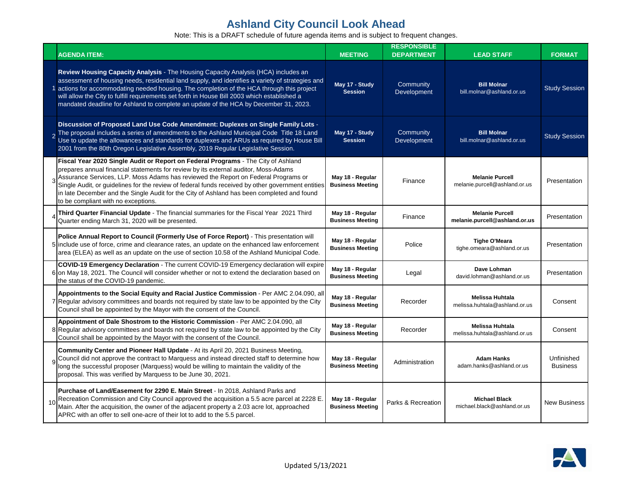| <b>AGENDA ITEM:</b>                                                                                                                                                                                                                                                                                                                                                                                                                                                                                      | <b>MEETING</b>                              | <b>RESPONSIBLE</b><br><b>DEPARTMENT</b> | <b>LEAD STAFF</b>                                       | <b>FORMAT</b>                 |
|----------------------------------------------------------------------------------------------------------------------------------------------------------------------------------------------------------------------------------------------------------------------------------------------------------------------------------------------------------------------------------------------------------------------------------------------------------------------------------------------------------|---------------------------------------------|-----------------------------------------|---------------------------------------------------------|-------------------------------|
| Review Housing Capacity Analysis - The Housing Capacity Analysis (HCA) includes an<br>assessment of housing needs, residential land supply, and identifies a variety of strategies and<br>actions for accommodating needed housing. The completion of the HCA through this project<br>will allow the City to fulfill requirements set forth in House Bill 2003 which established a<br>mandated deadline for Ashland to complete an update of the HCA by December 31, 2023.                               | May 17 - Study<br><b>Session</b>            | Community<br>Development                | <b>Bill Molnar</b><br>bill.molnar@ashland.or.us         | <b>Study Session</b>          |
| Discussion of Proposed Land Use Code Amendment: Duplexes on Single Family Lots -<br>2 The proposal includes a series of amendments to the Ashland Municipal Code Title 18 Land<br>Use to update the allowances and standards for duplexes and ARUs as required by House Bill<br>2001 from the 80th Oregon Legislative Assembly, 2019 Regular Legislative Session.                                                                                                                                        | May 17 - Study<br><b>Session</b>            | Community<br>Development                | <b>Bill Molnar</b><br>bill.molnar@ashland.or.us         | <b>Study Session</b>          |
| Fiscal Year 2020 Single Audit or Report on Federal Programs - The City of Ashland<br>prepares annual financial statements for review by its external auditor, Moss-Adams<br>Assurance Services, LLP. Moss Adams has reviewed the Report on Federal Programs or<br>Single Audit, or guidelines for the review of federal funds received by other government entities<br>in late December and the Single Audit for the City of Ashland has been completed and found<br>to be compliant with no exceptions. | May 18 - Regular<br><b>Business Meeting</b> | Finance                                 | <b>Melanie Purcell</b><br>melanie.purcell@ashland.or.us | Presentation                  |
| Third Quarter Financial Update - The financial summaries for the Fiscal Year 2021 Third<br>Quarter ending March 31, 2020 will be presented.                                                                                                                                                                                                                                                                                                                                                              | May 18 - Regular<br><b>Business Meeting</b> | Finance                                 | <b>Melanie Purcell</b><br>melanie.purcell@ashland.or.us | Presentation                  |
| Police Annual Report to Council (Formerly Use of Force Report) - This presentation will<br>5 include use of force, crime and clearance rates, an update on the enhanced law enforcement<br>area (ELEA) as well as an update on the use of section 10.58 of the Ashland Municipal Code.                                                                                                                                                                                                                   | May 18 - Regular<br><b>Business Meeting</b> | Police                                  | <b>Tighe O'Meara</b><br>tighe.omeara@ashland.or.us      | Presentation                  |
| COVID-19 Emergency Declaration - The current COVID-19 Emergency declaration will expire<br>6 on May 18, 2021. The Council will consider whether or not to extend the declaration based on<br>the status of the COVID-19 pandemic.                                                                                                                                                                                                                                                                        | May 18 - Regular<br><b>Business Meeting</b> | Legal                                   | Dave Lohman<br>david.lohman@ashland.or.us               | Presentation                  |
| Appointments to the Social Equity and Racial Justice Commission - Per AMC 2.04.090, all<br>7 Regular advisory committees and boards not required by state law to be appointed by the City<br>Council shall be appointed by the Mayor with the consent of the Council.                                                                                                                                                                                                                                    | May 18 - Regular<br><b>Business Meeting</b> | Recorder                                | <b>Melissa Huhtala</b><br>melissa.huhtala@ashland.or.us | Consent                       |
| Appointment of Dale Shostrom to the Historic Commission - Per AMC 2.04.090, all<br>8 Regular advisory committees and boards not required by state law to be appointed by the City<br>Council shall be appointed by the Mayor with the consent of the Council.                                                                                                                                                                                                                                            | May 18 - Regular<br><b>Business Meeting</b> | Recorder                                | <b>Melissa Huhtala</b><br>melissa.huhtala@ashland.or.us | Consent                       |
| Community Center and Pioneer Hall Update - At its April 20, 2021 Business Meeting,<br>9 Council did not approve the contract to Marquess and instead directed staff to determine how<br>long the successful proposer (Marquess) would be willing to maintain the validity of the<br>proposal. This was verified by Marquess to be June 30, 2021.                                                                                                                                                         | May 18 - Regular<br><b>Business Meeting</b> | Administration                          | <b>Adam Hanks</b><br>adam.hanks@ashland.or.us           | Unfinished<br><b>Business</b> |
| Purchase of Land/Easement for 2290 E. Main Street - In 2018, Ashland Parks and<br>10 Recreation Commission and City Council approved the acquisition a 5.5 acre parcel at 2228 E.<br>Main. After the acquisition, the owner of the adjacent property a 2.03 acre lot, approached<br>APRC with an offer to sell one-acre of their lot to add to the 5.5 parcel.                                                                                                                                           | May 18 - Regular<br><b>Business Meeting</b> | Parks & Recreation                      | <b>Michael Black</b><br>michael.black@ashland.or.us     | <b>New Business</b>           |

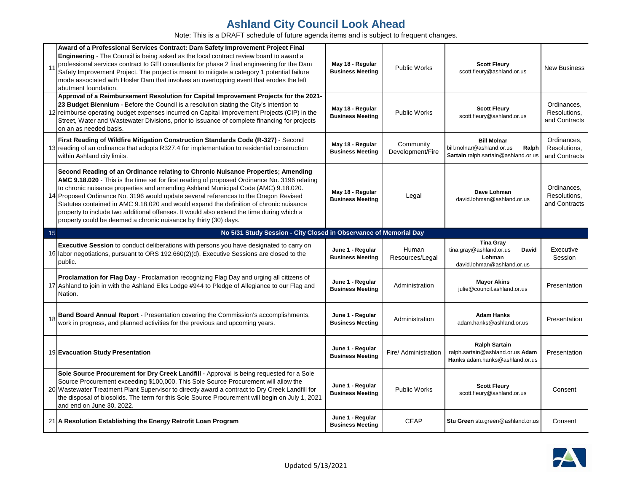|    | Award of a Professional Services Contract: Dam Safety Improvement Project Final<br>Engineering - The Council is being asked as the local contract review board to award a<br>professional services contract to GEI consultants for phase 2 final engineering for the Dam<br>Safety Improvement Project. The project is meant to mitigate a category 1 potential failure<br>mode associated with Hosler Dam that involves an overtopping event that erodes the left<br>abutment foundation.                                                                                                                                 | May 18 - Regular<br><b>Business Meeting</b> | <b>Public Works</b>           | <b>Scott Fleury</b><br>scott.fleury@ashland.or.us                                                   | <b>New Business</b>                          |
|----|----------------------------------------------------------------------------------------------------------------------------------------------------------------------------------------------------------------------------------------------------------------------------------------------------------------------------------------------------------------------------------------------------------------------------------------------------------------------------------------------------------------------------------------------------------------------------------------------------------------------------|---------------------------------------------|-------------------------------|-----------------------------------------------------------------------------------------------------|----------------------------------------------|
|    | Approval of a Reimbursement Resolution for Capital Improvement Projects for the 2021-<br>23 Budget Biennium - Before the Council is a resolution stating the City's intention to<br>12 reimburse operating budget expenses incurred on Capital Improvement Projects (CIP) in the<br>Street, Water and Wastewater Divisions, prior to issuance of complete financing for projects<br>on an as needed basis.                                                                                                                                                                                                                 | May 18 - Regular<br><b>Business Meeting</b> | <b>Public Works</b>           | <b>Scott Fleury</b><br>scott.fleury@ashland.or.us                                                   | Ordinances,<br>Resolutions,<br>and Contracts |
|    | First Reading of Wildfire Mitigation Construction Standards Code (R-327) - Second<br>13 reading of an ordinance that adopts R327.4 for implementation to residential construction<br>within Ashland city limits.                                                                                                                                                                                                                                                                                                                                                                                                           | May 18 - Regular<br><b>Business Meeting</b> | Community<br>Development/Fire | <b>Bill Molnar</b><br>bill.molnar@ashland.or.us<br>Ralph<br>Sartain ralph.sartain@ashland.or.us     | Ordinances,<br>Resolutions,<br>and Contracts |
|    | Second Reading of an Ordinance relating to Chronic Nuisance Properties; Amending<br>AMC 9.18.020 - This is the time set for first reading of proposed Ordinance No. 3196 relating<br>to chronic nuisance properties and amending Ashland Municipal Code (AMC) 9.18.020.<br>14 Proposed Ordinance No. 3196 would update several references to the Oregon Revised<br>Statutes contained in AMC 9.18.020 and would expand the definition of chronic nuisance<br>property to include two additional offenses. It would also extend the time during which a<br>property could be deemed a chronic nuisance by thirty (30) days. | May 18 - Regular<br><b>Business Meeting</b> | Legal                         | Dave Lohman<br>david.lohman@ashland.or.us                                                           | Ordinances,<br>Resolutions,<br>and Contracts |
| 15 | No 5/31 Study Session - City Closed in Observance of Memorial Day                                                                                                                                                                                                                                                                                                                                                                                                                                                                                                                                                          |                                             |                               |                                                                                                     |                                              |
|    |                                                                                                                                                                                                                                                                                                                                                                                                                                                                                                                                                                                                                            |                                             |                               |                                                                                                     |                                              |
|    | Executive Session to conduct deliberations with persons you have designated to carry on<br>16 Iabor negotiations, pursuant to ORS 192.660(2)(d). Executive Sessions are closed to the<br>public.                                                                                                                                                                                                                                                                                                                                                                                                                           | June 1 - Regular<br><b>Business Meeting</b> | Human<br>Resources/Legal      | <b>Tina Gray</b><br>tina.gray@ashland.or.us<br><b>David</b><br>Lohman<br>david.lohman@ashland.or.us | Executive<br>Session                         |
|    | Proclamation for Flag Day - Proclamation recognizing Flag Day and urging all citizens of<br>17 Ashland to join in with the Ashland Elks Lodge #944 to Pledge of Allegiance to our Flag and<br>Nation.                                                                                                                                                                                                                                                                                                                                                                                                                      | June 1 - Regular<br><b>Business Meeting</b> | Administration                | <b>Mayor Akins</b><br>julie@council.ashland.or.us                                                   | Presentation                                 |
|    | 18 <b>Band Board Annual Report</b> - Presentation covering the Commission's accomplishments, work in progress, and planned activities for the previous and upcoming years.                                                                                                                                                                                                                                                                                                                                                                                                                                                 | June 1 - Regular<br><b>Business Meeting</b> | Administration                | <b>Adam Hanks</b><br>adam.hanks@ashland.or.us                                                       | Presentation                                 |
|    | 19 Evacuation Study Presentation                                                                                                                                                                                                                                                                                                                                                                                                                                                                                                                                                                                           | June 1 - Regular<br><b>Business Meeting</b> | Fire/ Administration          | <b>Ralph Sartain</b><br>ralph.sartain@ashland.or.us Adam<br>Hanks adam.hanks@ashland.or.us          | Presentation                                 |
|    | Sole Source Procurement for Dry Creek Landfill - Approval is being requested for a Sole<br>Source Procurement exceeding \$100,000. This Sole Source Procurement will allow the<br>20 Wastewater Treatment Plant Supervisor to directly award a contract to Dry Creek Landfill for<br>the disposal of biosolids. The term for this Sole Source Procurement will begin on July 1, 2021<br>and end on June 30, 2022.                                                                                                                                                                                                          | June 1 - Regular<br><b>Business Meeting</b> | Public Works                  | <b>Scott Fleury</b><br>scott.fleury@ashland.or.us                                                   | Consent                                      |

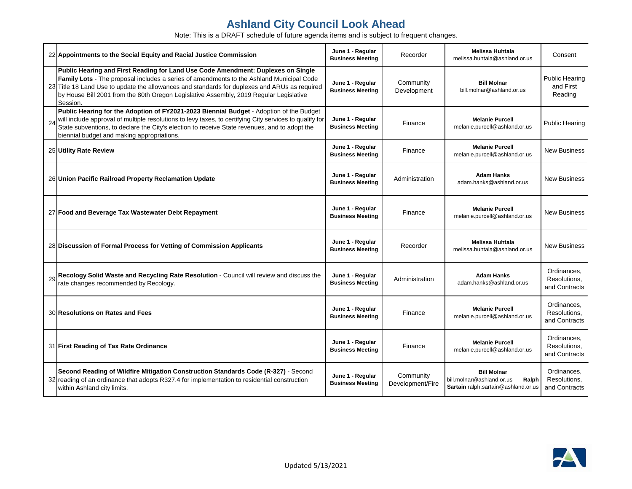|    | 22 Appointments to the Social Equity and Racial Justice Commission                                                                                                                                                                                                                                                                                                                  | June 1 - Regular<br><b>Business Meeting</b> | Recorder                      | Melissa Huhtala<br>melissa.huhtala@ashland.or.us                                                       | Consent                                       |
|----|-------------------------------------------------------------------------------------------------------------------------------------------------------------------------------------------------------------------------------------------------------------------------------------------------------------------------------------------------------------------------------------|---------------------------------------------|-------------------------------|--------------------------------------------------------------------------------------------------------|-----------------------------------------------|
|    | Public Hearing and First Reading for Land Use Code Amendment: Duplexes on Single<br>Family Lots - The proposal includes a series of amendments to the Ashland Municipal Code<br>23 Title 18 Land Use to update the allowances and standards for duplexes and ARUs as required<br>by House Bill 2001 from the 80th Oregon Legislative Assembly, 2019 Regular Legislative<br>Session. | June 1 - Regular<br><b>Business Meeting</b> | Community<br>Development      | <b>Bill Molnar</b><br>bill.molnar@ashland.or.us                                                        | <b>Public Hearing</b><br>and First<br>Reading |
| 24 | Public Hearing for the Adoption of FY2021-2023 Biennial Budget - Adoption of the Budget<br>will include approval of multiple resolutions to levy taxes, to certifying City services to qualify for<br>State subventions, to declare the City's election to receive State revenues, and to adopt the<br>biennial budget and making appropriations.                                   | June 1 - Regular<br><b>Business Meeting</b> | Finance                       | <b>Melanie Purcell</b><br>melanie.purcell@ashland.or.us                                                | <b>Public Hearing</b>                         |
|    | 25 Utility Rate Review                                                                                                                                                                                                                                                                                                                                                              | June 1 - Regular<br><b>Business Meeting</b> | Finance                       | <b>Melanie Purcell</b><br>melanie.purcell@ashland.or.us                                                | <b>New Business</b>                           |
|    | 26 Union Pacific Railroad Property Reclamation Update                                                                                                                                                                                                                                                                                                                               | June 1 - Regular<br><b>Business Meeting</b> | Administration                | <b>Adam Hanks</b><br>adam.hanks@ashland.or.us                                                          | <b>New Business</b>                           |
|    | 27 Food and Beverage Tax Wastewater Debt Repayment                                                                                                                                                                                                                                                                                                                                  | June 1 - Regular<br><b>Business Meeting</b> | Finance                       | <b>Melanie Purcell</b><br>melanie.purcell@ashland.or.us                                                | <b>New Business</b>                           |
|    | 28 Discussion of Formal Process for Vetting of Commission Applicants                                                                                                                                                                                                                                                                                                                | June 1 - Regular<br><b>Business Meeting</b> | Recorder                      | <b>Melissa Huhtala</b><br>melissa.huhtala@ashland.or.us                                                | <b>New Business</b>                           |
| 29 | Recology Solid Waste and Recycling Rate Resolution - Council will review and discuss the<br>rate changes recommended by Recology.                                                                                                                                                                                                                                                   | June 1 - Regular<br><b>Business Meeting</b> | Administration                | <b>Adam Hanks</b><br>adam.hanks@ashland.or.us                                                          | Ordinances,<br>Resolutions,<br>and Contracts  |
|    | 30 Resolutions on Rates and Fees                                                                                                                                                                                                                                                                                                                                                    | June 1 - Regular<br><b>Business Meeting</b> | Finance                       | <b>Melanie Purcell</b><br>melanie.purcell@ashland.or.us                                                | Ordinances,<br>Resolutions,<br>and Contracts  |
|    | 31 First Reading of Tax Rate Ordinance                                                                                                                                                                                                                                                                                                                                              | June 1 - Regular<br><b>Business Meeting</b> | Finance                       | <b>Melanie Purcell</b><br>melanie.purcell@ashland.or.us                                                | Ordinances.<br>Resolutions,<br>and Contracts  |
|    | Second Reading of Wildfire Mitigation Construction Standards Code (R-327) - Second<br>32 reading of an ordinance that adopts R327.4 for implementation to residential construction<br>within Ashland city limits.                                                                                                                                                                   | June 1 - Regular<br><b>Business Meeting</b> | Community<br>Development/Fire | <b>Bill Molnar</b><br>bill.molnar@ashland.or.us<br>Ralph<br><b>Sartain</b> ralph.sartain@ashland.or.us | Ordinances.<br>Resolutions,<br>and Contracts  |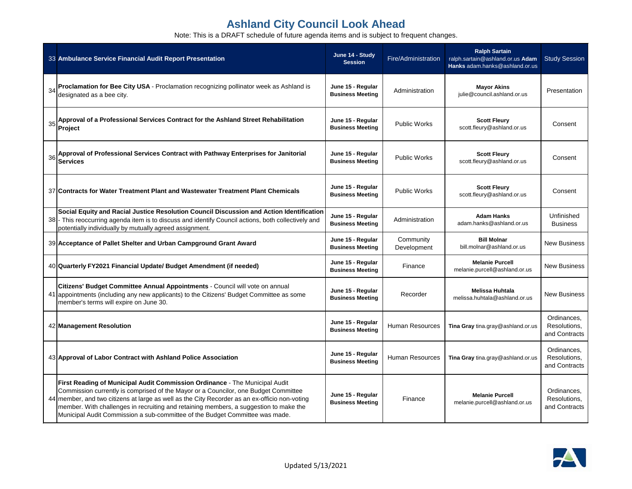|    | 33 Ambulance Service Financial Audit Report Presentation                                                                                                                                                                                                                                                                                                                                                                                     | June 14 - Study<br><b>Session</b>            | Fire/Administration      | <b>Ralph Sartain</b><br>ralph.sartain@ashland.or.us Adam<br>Hanks adam.hanks@ashland.or.us | <b>Study Session</b>                         |
|----|----------------------------------------------------------------------------------------------------------------------------------------------------------------------------------------------------------------------------------------------------------------------------------------------------------------------------------------------------------------------------------------------------------------------------------------------|----------------------------------------------|--------------------------|--------------------------------------------------------------------------------------------|----------------------------------------------|
| 34 | Proclamation for Bee City USA - Proclamation recognizing pollinator week as Ashland is<br>designated as a bee city.                                                                                                                                                                                                                                                                                                                          | June 15 - Regular<br><b>Business Meeting</b> | Administration           | <b>Mayor Akins</b><br>julie@council.ashland.or.us                                          | Presentation                                 |
| 35 | Approval of a Professional Services Contract for the Ashland Street Rehabilitation<br>Project                                                                                                                                                                                                                                                                                                                                                | June 15 - Regular<br><b>Business Meeting</b> | <b>Public Works</b>      | <b>Scott Fleury</b><br>scott.fleury@ashland.or.us                                          | Consent                                      |
| 36 | Approval of Professional Services Contract with Pathway Enterprises for Janitorial<br><b>Services</b>                                                                                                                                                                                                                                                                                                                                        | June 15 - Regular<br><b>Business Meeting</b> | <b>Public Works</b>      | <b>Scott Fleury</b><br>scott.fleury@ashland.or.us                                          | Consent                                      |
|    | 37 Contracts for Water Treatment Plant and Wastewater Treatment Plant Chemicals                                                                                                                                                                                                                                                                                                                                                              | June 15 - Regular<br><b>Business Meeting</b> | <b>Public Works</b>      | <b>Scott Fleury</b><br>scott.fleury@ashland.or.us                                          | Consent                                      |
|    | Social Equity and Racial Justice Resolution Council Discussion and Action Identification<br>38 - This reoccurring agenda item is to discuss and identify Council actions, both collectively and<br>potentially individually by mutually agreed assignment.                                                                                                                                                                                   | June 15 - Regular<br><b>Business Meeting</b> | Administration           | <b>Adam Hanks</b><br>adam.hanks@ashland.or.us                                              | Unfinished<br><b>Business</b>                |
|    | 39 Acceptance of Pallet Shelter and Urban Campground Grant Award                                                                                                                                                                                                                                                                                                                                                                             | June 15 - Regular<br><b>Business Meeting</b> | Community<br>Development | <b>Bill Molnar</b><br>bill.molnar@ashland.or.us                                            | <b>New Business</b>                          |
|    | 40 Quarterly FY2021 Financial Update/ Budget Amendment (if needed)                                                                                                                                                                                                                                                                                                                                                                           | June 15 - Regular<br><b>Business Meeting</b> | Finance                  | <b>Melanie Purcell</b><br>melanie.purcell@ashland.or.us                                    | <b>New Business</b>                          |
|    | Citizens' Budget Committee Annual Appointments - Council will vote on annual<br>41 appointments (including any new applicants) to the Citizens' Budget Committee as some<br>member's terms will expire on June 30.                                                                                                                                                                                                                           | June 15 - Regular<br><b>Business Meeting</b> | Recorder                 | <b>Melissa Huhtala</b><br>melissa.huhtala@ashland.or.us                                    | <b>New Business</b>                          |
|    | 42 Management Resolution                                                                                                                                                                                                                                                                                                                                                                                                                     | June 15 - Regular<br><b>Business Meeting</b> | <b>Human Resources</b>   | Tina Gray tina.gray@ashland.or.us                                                          | Ordinances,<br>Resolutions,<br>and Contracts |
|    | 43 Approval of Labor Contract with Ashland Police Association                                                                                                                                                                                                                                                                                                                                                                                | June 15 - Regular<br><b>Business Meeting</b> |                          | Human Resources   Tina Gray tina.gray@ashland.or.us                                        | Ordinances,<br>Resolutions,<br>and Contracts |
|    | First Reading of Municipal Audit Commission Ordinance - The Municipal Audit<br>Commission currently is comprised of the Mayor or a Councilor, one Budget Committee<br>44 member, and two citizens at large as well as the City Recorder as an ex-officio non-voting<br>member. With challenges in recruiting and retaining members, a suggestion to make the<br>Municipal Audit Commission a sub-committee of the Budget Committee was made. | June 15 - Regular<br><b>Business Meeting</b> | Finance                  | <b>Melanie Purcell</b><br>melanie.purcell@ashland.or.us                                    | Ordinances,<br>Resolutions,<br>and Contracts |

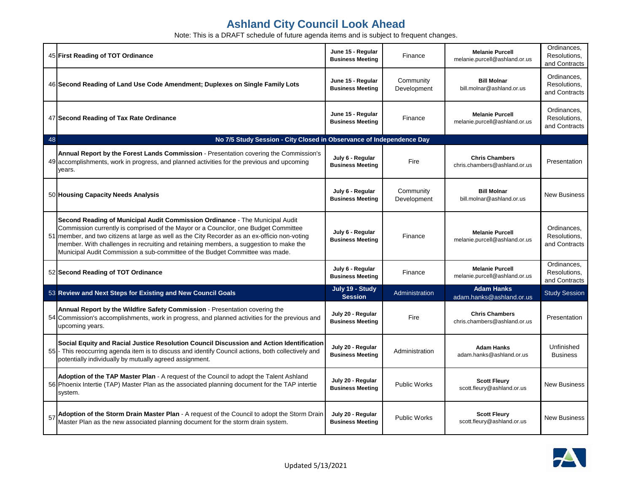|    | 45 First Reading of TOT Ordinance                                                                                                                                                                                                                                                                                                                                                                                                             | June 15 - Regular<br><b>Business Meeting</b> | Finance                  | <b>Melanie Purcell</b><br>melanie.purcell@ashland.or.us | Ordinances,<br>Resolutions,<br>and Contracts |
|----|-----------------------------------------------------------------------------------------------------------------------------------------------------------------------------------------------------------------------------------------------------------------------------------------------------------------------------------------------------------------------------------------------------------------------------------------------|----------------------------------------------|--------------------------|---------------------------------------------------------|----------------------------------------------|
|    | 46 Second Reading of Land Use Code Amendment; Duplexes on Single Family Lots                                                                                                                                                                                                                                                                                                                                                                  | June 15 - Regular<br><b>Business Meeting</b> | Community<br>Development | <b>Bill Molnar</b><br>bill.molnar@ashland.or.us         | Ordinances,<br>Resolutions,<br>and Contracts |
|    | 47 Second Reading of Tax Rate Ordinance                                                                                                                                                                                                                                                                                                                                                                                                       | June 15 - Regular<br><b>Business Meeting</b> | Finance                  | <b>Melanie Purcell</b><br>melanie.purcell@ashland.or.us | Ordinances,<br>Resolutions,<br>and Contracts |
| 48 | No 7/5 Study Session - City Closed in Observance of Independence Day                                                                                                                                                                                                                                                                                                                                                                          |                                              |                          |                                                         |                                              |
|    | Annual Report by the Forest Lands Commission - Presentation covering the Commission's<br>49 accomplishments, work in progress, and planned activities for the previous and upcoming<br>years.                                                                                                                                                                                                                                                 | July 6 - Regular<br><b>Business Meeting</b>  | Fire                     | <b>Chris Chambers</b><br>chris.chambers@ashland.or.us   | Presentation                                 |
|    | 50 Housing Capacity Needs Analysis                                                                                                                                                                                                                                                                                                                                                                                                            | July 6 - Regular<br><b>Business Meeting</b>  | Community<br>Development | <b>Bill Molnar</b><br>bill.molnar@ashland.or.us         | <b>New Business</b>                          |
|    | Second Reading of Municipal Audit Commission Ordinance - The Municipal Audit<br>Commission currently is comprised of the Mayor or a Councilor, one Budget Committee<br>51 member, and two citizens at large as well as the City Recorder as an ex-officio non-voting<br>member. With challenges in recruiting and retaining members, a suggestion to make the<br>Municipal Audit Commission a sub-committee of the Budget Committee was made. | July 6 - Regular<br><b>Business Meeting</b>  | Finance                  | <b>Melanie Purcell</b><br>melanie.purcell@ashland.or.us | Ordinances,<br>Resolutions,<br>and Contracts |
|    | 52 Second Reading of TOT Ordinance                                                                                                                                                                                                                                                                                                                                                                                                            | July 6 - Regular<br><b>Business Meeting</b>  | Finance                  | <b>Melanie Purcell</b><br>melanie.purcell@ashland.or.us | Ordinances,<br>Resolutions,<br>and Contracts |
|    | 53 Review and Next Steps for Existing and New Council Goals                                                                                                                                                                                                                                                                                                                                                                                   | July 19 - Study<br><b>Session</b>            | Administration           | <b>Adam Hanks</b><br>adam.hanks@ashland.or.us           | <b>Study Session</b>                         |
|    | Annual Report by the Wildfire Safety Commission - Presentation covering the<br>54 Commission's accomplishments, work in progress, and planned activities for the previous and<br>upcoming years.                                                                                                                                                                                                                                              | July 20 - Regular<br><b>Business Meeting</b> | Fire                     | <b>Chris Chambers</b><br>chris.chambers@ashland.or.us   | Presentation                                 |
|    | Social Equity and Racial Justice Resolution Council Discussion and Action Identification<br>55 - This reoccurring agenda item is to discuss and identify Council actions, both collectively and<br>potentially individually by mutually agreed assignment.                                                                                                                                                                                    | July 20 - Regular<br><b>Business Meeting</b> | Administration           | <b>Adam Hanks</b><br>adam.hanks@ashland.or.us           | Unfinished<br><b>Business</b>                |
|    | Adoption of the TAP Master Plan - A request of the Council to adopt the Talent Ashland<br>56 Phoenix Intertie (TAP) Master Plan as the associated planning document for the TAP intertie<br>system.                                                                                                                                                                                                                                           | July 20 - Regular<br><b>Business Meeting</b> | Public Works             | <b>Scott Fleury</b><br>scott.fleury@ashland.or.us       | <b>New Business</b>                          |
|    | 57 Adoption of the Storm Drain Master Plan - A request of the Council to adopt the Storm Drain<br>Master Plan as the new associated planning document for the storm drain system.                                                                                                                                                                                                                                                             | July 20 - Regular<br><b>Business Meeting</b> | Public Works             | <b>Scott Fleury</b><br>scott.fleury@ashland.or.us       | <b>New Business</b>                          |